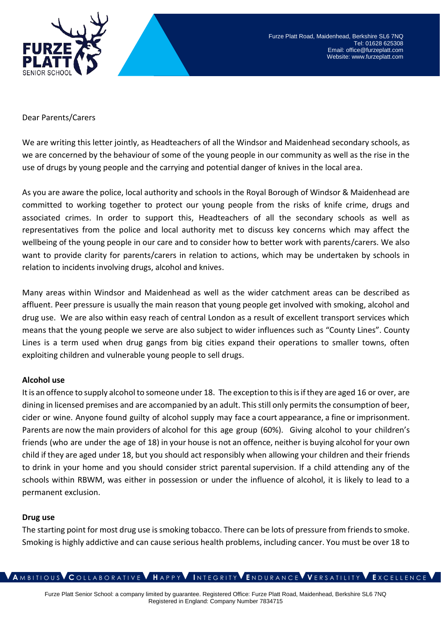

### Dear Parents/Carers

We are writing this letter jointly, as Headteachers of all the Windsor and Maidenhead secondary schools, as we are concerned by the behaviour of some of the young people in our community as well as the rise in the use of drugs by young people and the carrying and potential danger of knives in the local area.

As you are aware the police, local authority and schools in the Royal Borough of Windsor & Maidenhead are committed to working together to protect our young people from the risks of knife crime, drugs and associated crimes. In order to support this, Headteachers of all the secondary schools as well as representatives from the police and local authority met to discuss key concerns which may affect the wellbeing of the young people in our care and to consider how to better work with parents/carers. We also want to provide clarity for parents/carers in relation to actions, which may be undertaken by schools in relation to incidents involving drugs, alcohol and knives.

Many areas within Windsor and Maidenhead as well as the wider catchment areas can be described as affluent. Peer pressure is usually the main reason that young people get involved with smoking, alcohol and drug use. We are also within easy reach of central London as a result of excellent transport services which means that the young people we serve are also subject to wider influences such as "County Lines". County Lines is a term used when drug gangs from big cities expand their operations to smaller towns, often exploiting children and vulnerable young people to sell drugs.

### **Alcohol use**

It is an offence to supply alcohol to someone under 18. The exception to this is if they are aged 16 or over, are dining in licensed premises and are accompanied by an adult. This still only permits the consumption of beer, cider or wine. Anyone found guilty of alcohol supply may face a court appearance, a fine or imprisonment. Parents are now the main providers of alcohol for this age group (60%). Giving alcohol to your children's friends (who are under the age of 18) in your house is not an offence, neither is buying alcohol for your own child if they are aged under 18, but you should act responsibly when allowing your children and their friends to drink in your home and you should consider strict parental supervision. If a child attending any of the schools within RBWM, was either in possession or under the influence of alcohol, it is likely to lead to a permanent exclusion.

#### **Drug use**

The starting point for most drug use is smoking tobacco. There can be lots of pressure from friends to smoke. Smoking is highly addictive and can cause serious health problems, including cancer. You must be over 18 to

**A** M B I T I O U S **C** O L L A B O R A T I V E **H** A P P Y **I** N T E G R I T Y **E** N D U R A N C E **V** E R S A T I L I T Y **E** X C E L L E N C E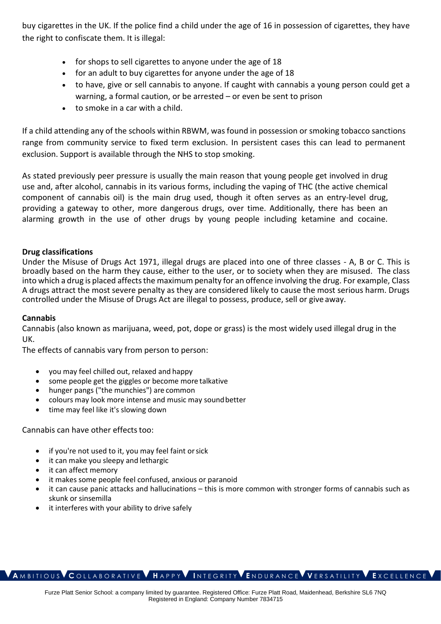buy cigarettes in the UK. If the police find a child under the age of 16 in possession of cigarettes, they have the right to confiscate them. It is illegal:

- for shops to sell cigarettes to anyone under the age of 18
- for an adult to buy cigarettes for anyone under the age of 18
- to have, give or sell cannabis to anyone. If caught with cannabis a young person could get a warning, a formal caution, or be arrested – or even be sent to prison
- to smoke in a car with a child.

If a child attending any of the schools within RBWM, was found in possession or smoking tobacco sanctions range from community service to fixed term exclusion. In persistent cases this can lead to permanent exclusion. Support is available through the NHS to stop smoking.

As stated previously peer pressure is usually the main reason that young people get involved in drug use and, after alcohol, cannabis in its various forms, including the vaping of THC (the active chemical component of cannabis oil) is the main drug used, though it often serves as an entry-level drug, providing a gateway to other, more dangerous drugs, over time. Additionally, there has been an alarming growth in the use of other drugs by young people including ketamine and cocaine.

## **Drug classifications**

Under the Misuse of Drugs Act 1971, illegal drugs are placed into one of three classes - A, B or C. This is broadly based on the harm they cause, either to the user, or to society when they are misused. The class into which a drug is placed affects the maximum penalty for an offence involving the drug. For example, Class A drugs attract the most severe penalty as they are considered likely to cause the most serious harm. Drugs controlled under the Misuse of Drugs Act are illegal to possess, produce, sell or give away.

### **Cannabis**

Cannabis (also known as marijuana, weed, pot, dope or grass) is the most widely used illegal drug in the UK.

The effects of cannabis vary from person to person:

- you may feel chilled out, relaxed and happy
- some people get the giggles or become more talkative
- hunger pangs ("the munchies") are common
- colours may look more intense and music may soundbetter
- time may feel like it's slowing down

### Cannabis can have other effects too:

- if you're not used to it, you may feel faint orsick
- it can make you sleepy and lethargic
- it can affect memory
- it makes some people feel confused, anxious or paranoid
- it can cause panic attacks and hallucinations this is more common with stronger forms of cannabis such as skunk or sinsemilla
- it interferes with your ability to drive safely

# **A** M B I T I O U S **C** O L L A B O R A T I V E **H** A P P Y **I** N T E G R I T Y **E** N D U R A N C E **V** E R S A T I L I T Y **E** X C E L L E N C E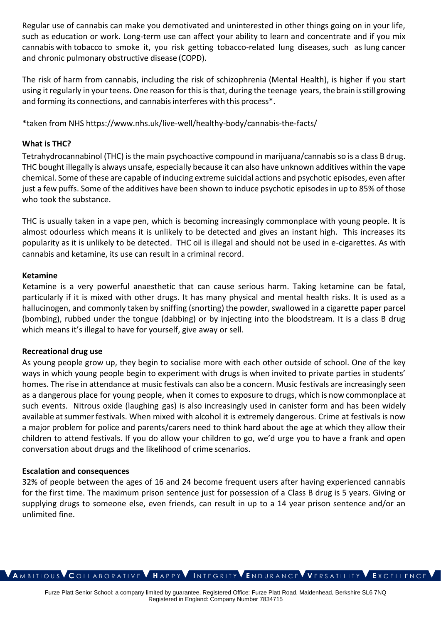Regular use of cannabis can make you demotivated and uninterested in other things going on in your life, such as education or work. Long-term use can affect your ability to learn and concentrate and if you mix cannabis with tobacco to smoke it, you risk getting tobacco-related lung diseases, such a[s lung](https://www.nhs.uk/conditions/lung-cancer/) [cancer](https://www.nhs.uk/conditions/lung-cancer/)  and [chronic pulmonary obstructive disease](https://www.nhs.uk/conditions/chronic-obstructive-pulmonary-disease-copd/) (COPD).

The risk of harm from cannabis, including the risk of schizophrenia (Mental Health), is higher if you start using it regularly in your teens. One reason for this is that, during the teenage years, thebrainisstill growing and forming its connections, and cannabis interferes with this process<sup>\*</sup>.

\*taken from NHS<https://www.nhs.uk/live-well/healthy-body/cannabis-the-facts/>

# **What is THC?**

Tetrahydrocannabinol (THC) is the main psychoactive compound in marijuana/cannabis so is a class B drug. THC bought illegally is always unsafe, especially because it can also have unknown additives within the vape chemical. Some of these are capable of inducing extreme suicidal actions and psychotic episodes, even after just a few puffs. Some of the additives have been shown to induce psychotic episodes in up to 85% of those who took the substance.

THC is usually taken in a vape pen, which is becoming increasingly commonplace with young people. It is almost odourless which means it is unlikely to be detected and gives an instant high. This increases its popularity as it is unlikely to be detected. THC oil is illegal and should not be used in e-cigarettes. As with cannabis and ketamine, its use can result in a criminal record.

### **Ketamine**

Ketamine is a very powerful anaesthetic that can cause serious harm. Taking ketamine can be fatal, particularly if it is mixed with other drugs. It has many physical and mental health risks. It is used as a hallucinogen, and commonly taken by sniffing (snorting) the powder, swallowed in a cigarette paper parcel (bombing), rubbed under the tongue (dabbing) or by injecting into the bloodstream. It is a class B drug which means it's illegal to have for yourself, give away or sell.

### **Recreational drug use**

As young people grow up, they begin to socialise more with each other outside of school. One of the key ways in which young people begin to experiment with drugs is when invited to private parties in students' homes. The rise in attendance at music festivals can also be a concern. Music festivals are increasingly seen as a dangerous place for young people, when it comes to exposure to drugs, which is now commonplace at such events. Nitrous oxide (laughing gas) is also increasingly used in canister form and has been widely available at summer festivals. When mixed with alcohol it is extremely dangerous. Crime at festivals is now a major problem for police and parents/carers need to think hard about the age at which they allow their children to attend festivals. If you do allow your children to go, we'd urge you to have a frank and open conversation about drugs and the likelihood of crime scenarios.

### **Escalation and consequences**

32% of people between the ages of 16 and 24 become frequent users after having experienced cannabis for the first time. The maximum prison sentence just for possession of a Class B drug is 5 years. Giving or supplying drugs to someone else, even friends, can result in up to a 14 year prison sentence and/or an unlimited fine.

#### **A** M B I T I O U S **C** O L L A B O R A T I V E **H** A P P Y **I** N T E G R I T Y **E** N D U R A N C E **V** E R S A T I L I T Y **E** X C E L L E N C E

Furze Platt Senior School: a company limited by guarantee. Registered Office: Furze Platt Road, Maidenhead, Berkshire SL6 7NQ Registered in England: Company Number 7834715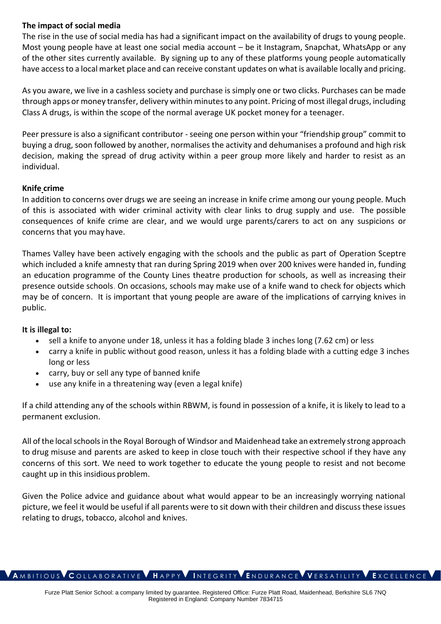# **The impact of social media**

The rise in the use of social media has had a significant impact on the availability of drugs to young people. Most young people have at least one social media account – be it Instagram, Snapchat, WhatsApp or any of the other sites currently available. By signing up to any of these platforms young people automatically have access to a local market place and can receive constant updates on what is available locally and pricing.

As you aware, we live in a cashless society and purchase is simply one or two clicks. Purchases can be made through apps or money transfer, delivery within minutes to any point. Pricing of most illegal drugs, including Class A drugs, is within the scope of the normal average UK pocket money for a teenager.

Peer pressure is also a significant contributor - seeing one person within your "friendship group" commit to buying a drug, soon followed by another, normalises the activity and dehumanises a profound and high risk decision, making the spread of drug activity within a peer group more likely and harder to resist as an individual.

# **Knife crime**

In addition to concerns over drugs we are seeing an increase in knife crime among our young people. Much of this is associated with wider criminal activity with clear links to drug supply and use. The possible consequences of knife crime are clear, and we would urge parents/carers to act on any suspicions or concerns that you may have.

Thames Valley have been actively engaging with the schools and the public as part of Operation Sceptre which included a knife amnesty that ran during Spring 2019 when over 200 knives were handed in, funding an education programme of the County Lines theatre production for schools, as well as increasing their presence outside schools. On occasions, schools may make use of a knife wand to check for objects which may be of concern. It is important that young people are aware of the implications of carrying knives in public.

# **It is illegal to:**

- sell a knife to anyone under 18, unless it has a folding blade 3 inches long (7.62 cm) or less
- carry a knife in public without good reason, unless it has a folding blade with a cutting edge 3 inches long or less
- carry, buy or sell any type of banned knife
- use any knife in a threatening way (even a legal knife)

If a child attending any of the schools within RBWM, is found in possession of a knife, it is likely to lead to a permanent exclusion.

All of the local schools in the Royal Borough of Windsor and Maidenhead take an extremely strong approach to drug misuse and parents are asked to keep in close touch with their respective school if they have any concerns of this sort. We need to work together to educate the young people to resist and not become caught up in this insidious problem.

Given the Police advice and guidance about what would appear to be an increasingly worrying national picture, we feel it would be useful if all parents were to sit down with their children and discuss these issues relating to drugs, tobacco, alcohol and knives.

#### **A** M B I T I O U S **C** O L L A B O R A T I V E **H** A P P Y **I** N T E G R I T Y **E** N D U R A N C E **V** E R S A T I L I T Y **E** X C E L L E N C E

Furze Platt Senior School: a company limited by guarantee. Registered Office: Furze Platt Road, Maidenhead, Berkshire SL6 7NQ Registered in England: Company Number 7834715